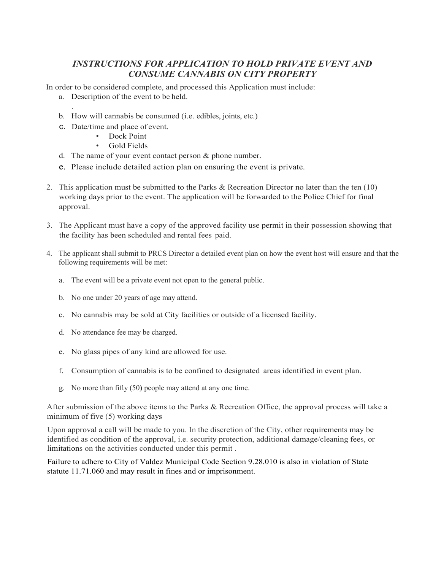## *INSTRUCTIONS FOR APPLICATION TO HOLD PRIVATE EVENT AND CONSUME CANNABIS ON CITY PROPERTY*

In order to be considered complete, and processed this Application must include:

- a. Description of the event to be held.
- . b. How will cannabis be consumed (i.e. edibles, joints, etc.)
- c. Date/time and place of event.
	- Dock Point
	- Gold Fields
- d. The name of your event contact person  $&$  phone number.
- e. Please include detailed action plan on ensuring the event is private.
- 2. This application must be submitted to the Parks & Recreation Director no later than the ten (10) working days prior to the event. The application will be forwarded to the Police Chief for final approval.
- 3. The Applicant must have a copy of the approved facility use permit in their possession showing that the facility has been scheduled and rental fees paid.
- 4. The applicant shall submit to PRCS Director a detailed event plan on how the event host will ensure and that the following requirements will be met:
	- a. The event will be a private event not open to the general public.
	- b. No one under 20 years of age may attend.
	- c. No cannabis may be sold at City facilities or outside of a licensed facility.
	- d. No attendance fee may be charged.
	- e. No glass pipes of any kind are allowed for use.
	- f. Consumption of cannabis is to be confined to designated areas identified in event plan.
	- g. No more than fifty (50**)** people may attend at any one time.

After submission of the above items to the Parks & Recreation Office, the approval process will take a minimum of five (5) working days

Upon approval a call will be made to you. In the discretion of the City, other requirements may be identified as condition of the approval, i.e. security protection, additional damage/cleaning fees, or limitations on the activities conducted under this permit .

Failure to adhere to City of Valdez Municipal Code Section 9.28.010 is also in violation of State statute 11.71.060 and may result in fines and or imprisonment.